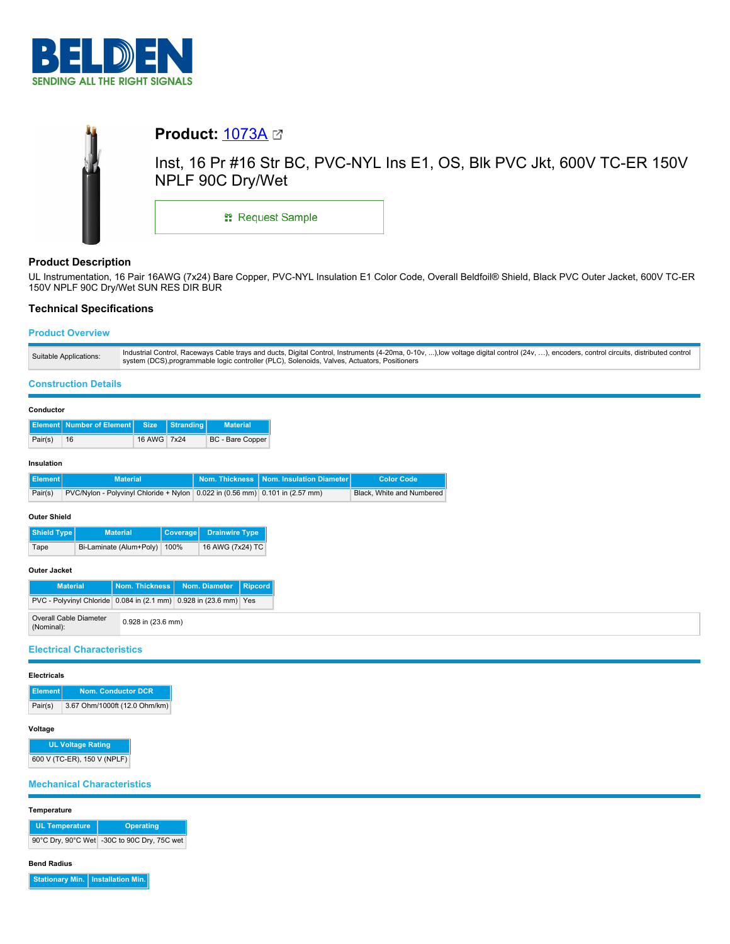



# **Product Description**

UL Instrumentation, 16 Pair 16AWG (7x24) Bare Copper, PVC-NYL Insulation E1 Color Code, Overall Beldfoil® Shield, Black PVC Outer Jacket, 600V TC-ER 150V NPLF 90C Dry/Wet SUN RES DIR BUR

# **Technical Specifications**

# **Product Overview**

## **Construction Details**

| <b>Element Number of Element  </b><br><b>Size</b><br>Stranding<br><b>Material</b> | Pair(s)<br>16 AWG 7x24<br>BC - Bare Copper<br>16<br>Insulation |
|-----------------------------------------------------------------------------------|----------------------------------------------------------------|
|                                                                                   |                                                                |
|                                                                                   |                                                                |

| n Elementh | <u>iviaterial i</u>                                                                          | i Norn. Inickness i Norn. Insulation Diameter i | <b>COIOF COUP</b>         |
|------------|----------------------------------------------------------------------------------------------|-------------------------------------------------|---------------------------|
| Pair(s)    | PVC/Nylon - Polyvinyl Chloride + Nylon $(0.022$ in $(0.56$ mm $)$ $(0.101$ in $(2.57$ mm $)$ |                                                 | Black, White and Numbered |
|            |                                                                                              |                                                 |                           |

### **Outer Shield**

| Shield Type | <b>Material</b>         | Coverage | <b>Drainwire Type</b> |
|-------------|-------------------------|----------|-----------------------|
| Tape        | Bi-Laminate (Alum+Poly) | 100%     | 16 AWG (7x24) TC      |

## **Outer Jacket**

| <b>Material</b>                                                   |                    | Nom. Thickness   Nom. Diameter   Ripcord |  |
|-------------------------------------------------------------------|--------------------|------------------------------------------|--|
| PVC - Polyvinyl Chloride 0.084 in (2.1 mm) 0.928 in (23.6 mm) Yes |                    |                                          |  |
| <b>Overall Cable Diameter</b><br>(Nominal):                       | 0.928 in (23.6 mm) |                                          |  |

## **Electrical Characteristics**

### **Electricals**

| Element <sup>1</sup> | <b>Nom. Conductor DCR</b>     |
|----------------------|-------------------------------|
| Pair(s)              | 3.67 Ohm/1000ft (12.0 Ohm/km) |

# **Voltage**

**UL Voltage Rating** 600 V (TC-ER), 150 V (NPLF)

# **Mechanical Characteristics**

**Temperature**

| <b>UL Temperature</b> | <b>Operating</b>                            |  |  |
|-----------------------|---------------------------------------------|--|--|
|                       | 90°C Dry, 90°C Wet -30C to 90C Dry, 75C wet |  |  |

### **Bend Radius**

**Stationary Min. Installation Min.**